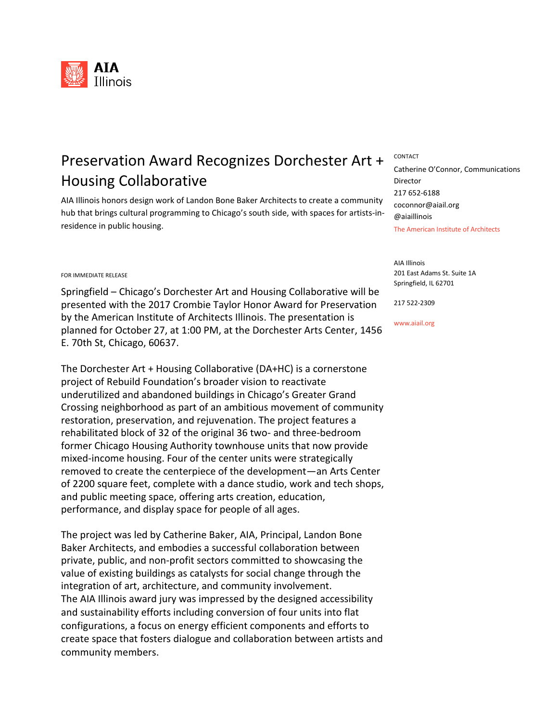

## Preservation Award Recognizes Dorchester Art + CONTACT Housing Collaborative

AIA Illinois honors design work of Landon Bone Baker Architects to create a community hub that brings cultural programming to Chicago's south side, with spaces for artists-inresidence in public housing.

## FOR IMMEDIATE RELEASE

Springfield – Chicago's Dorchester Art and Housing Collaborative will be presented with the 2017 Crombie Taylor Honor Award for Preservation by the American Institute of Architects Illinois. The presentation is planned for October 27, at 1:00 PM, at the Dorchester Arts Center, 1456 E. 70th St, Chicago, 60637.

The Dorchester Art + Housing Collaborative (DA+HC) is a cornerstone project of Rebuild Foundation's broader vision to reactivate underutilized and abandoned buildings in Chicago's Greater Grand Crossing neighborhood as part of an ambitious movement of community restoration, preservation, and rejuvenation. The project features a rehabilitated block of 32 of the original 36 two- and three-bedroom former Chicago Housing Authority townhouse units that now provide mixed-income housing. Four of the center units were strategically removed to create the centerpiece of the development—an Arts Center of 2200 square feet, complete with a dance studio, work and tech shops, and public meeting space, offering arts creation, education, performance, and display space for people of all ages.

The project was led by Catherine Baker, AIA, Principal, Landon Bone Baker Architects, and embodies a successful collaboration between private, public, and non-profit sectors committed to showcasing the value of existing buildings as catalysts for social change through the integration of art, architecture, and community involvement. The AIA Illinois award jury was impressed by the designed accessibility and sustainability efforts including conversion of four units into flat configurations, a focus on energy efficient components and efforts to create space that fosters dialogue and collaboration between artists and community members.

The American Institute of Architects Catherine O'Connor, Communications Director 217 652-6188 coconnor@aiail.org @aiaillinois

AIA Illinois 201 East Adams St. Suite 1A Springfield, IL 62701

217 522-2309

www.aiail.org